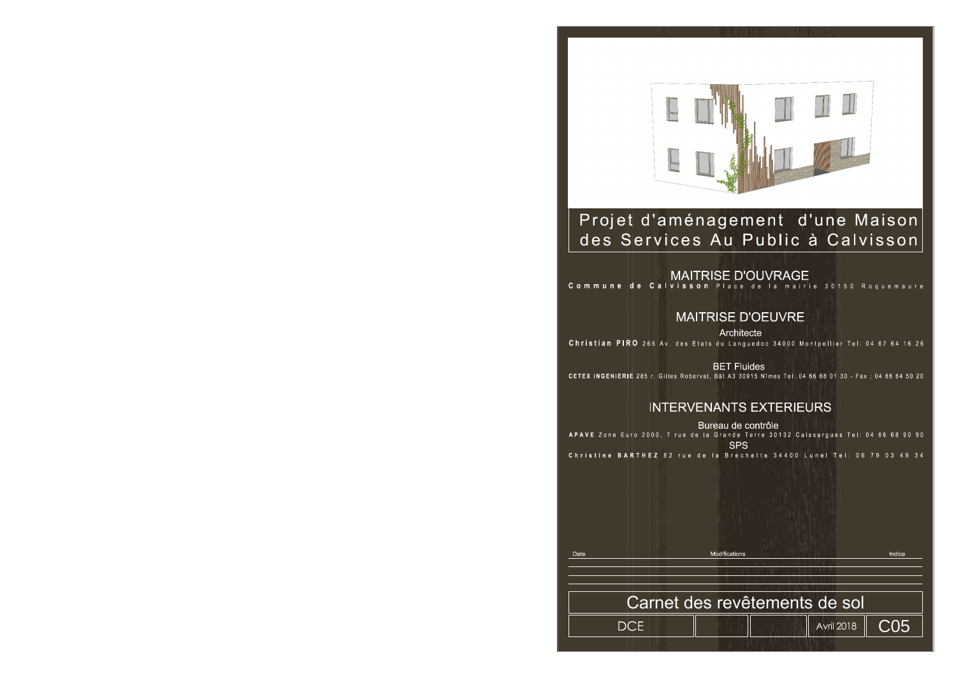

### Projet d'aménagement d'une Maison des Services Au Public à Calvisson

**MAITRISE D'OEUVRE** Architecte Christian PIRO 265 Av. des Etats du Languedoc 34000 Montpellier Tel: 04 67 64 16 26

**BET Fluides** CETEX INGENIERIE 285 r. Gilles Roberval, Bât A3 30915 Nîmes Tel: 04 66 68 01 30 - Fax: 04 66 64 50 20

#### **INTERVENANTS EXTERIEURS**

Bureau de contrôle APAVE Zone Euro 2000, 7 rue de la Grande Terre 30132 Caissargues Tel: 04 66 68 90 90 **SPS** Christine BARTHEZ 82 rue de la Brechette 34400 Lunel Tel: 06 79 03 49 34

Date

**DCE** 



## MAITRISE D'OUVRAGE<br>Commune de Calvisson Place de la mairie 30150 Roquemaure

**Modification:** 

Indice

**C05** 

# Carnet des revêtements de sol

**Avril 2018**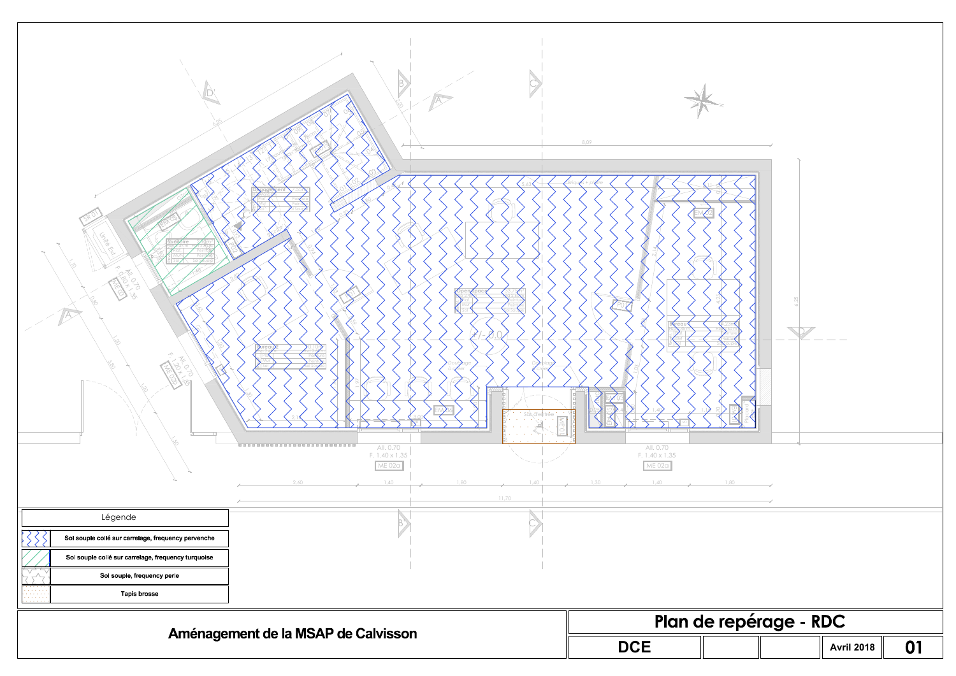